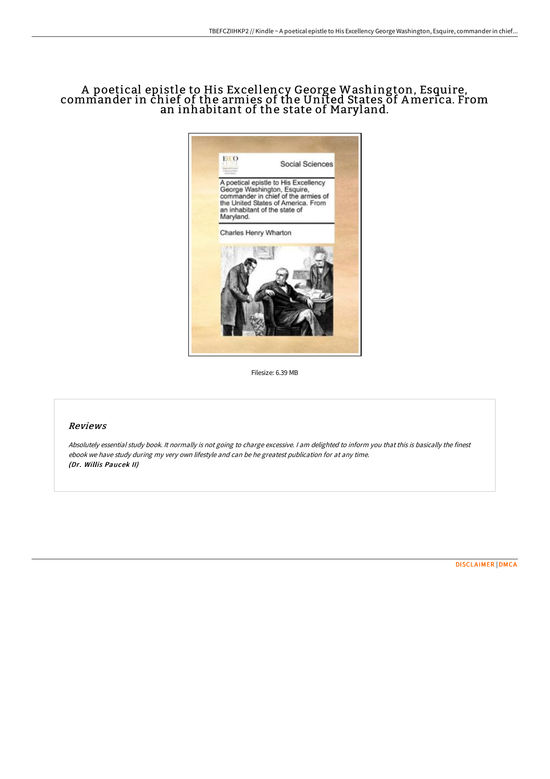## A poetical epistle to His Excellency George Washington, Esquire, commander in chief of the armies of the United States of America. From an inhabitant of the state of Maryland.



Filesize: 6.39 MB

## Reviews

Absolutely essential study book. It normally is not going to charge excessive. <sup>I</sup> am delighted to inform you that this is basically the finest ebook we have study during my very own lifestyle and can be he greatest publication for at any time. (Dr. Willis Paucek II)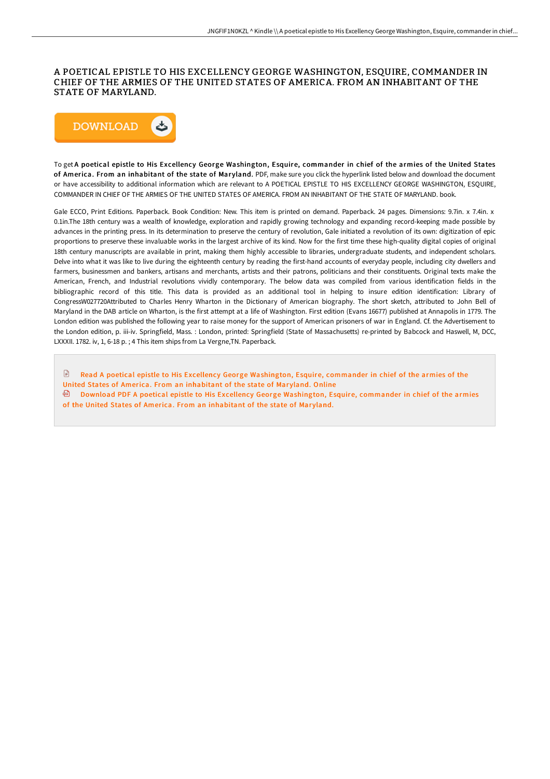## A POETICAL EPISTLE TO HIS EXCELLENCY GEORGE WASHINGTON, ESQUIRE, COMMANDER IN CHIEF OF THE ARMIES OF THE UNITED STATES OF AMERICA. FROM AN INHABITANT OF THE STATE OF MARYLAND.



To get A poetical epistle to His Excellency George Washington, Esquire, commander in chief of the armies of the United States of America. From an inhabitant of the state of Maryland. PDF, make sure you click the hyperlink listed below and download the document or have accessibility to additional information which are relevant to A POETICAL EPISTLE TO HIS EXCELLENCY GEORGE WASHINGTON, ESQUIRE, COMMANDER IN CHIEF OF THE ARMIES OF THE UNITED STATES OF AMERICA. FROM AN INHABITANT OF THE STATE OF MARYLAND. book.

Gale ECCO, Print Editions. Paperback. Book Condition: New. This item is printed on demand. Paperback. 24 pages. Dimensions: 9.7in. x 7.4in. x 0.1in.The 18th century was a wealth of knowledge, exploration and rapidly growing technology and expanding record-keeping made possible by advances in the printing press. In its determination to preserve the century of revolution, Gale initiated a revolution of its own: digitization of epic proportions to preserve these invaluable works in the largest archive of its kind. Now for the first time these high-quality digital copies of original 18th century manuscripts are available in print, making them highly accessible to libraries, undergraduate students, and independent scholars. Delve into what it was like to live during the eighteenth century by reading the first-hand accounts of everyday people, including city dwellers and farmers, businessmen and bankers, artisans and merchants, artists and their patrons, politicians and their constituents. Original texts make the American, French, and Industrial revolutions vividly contemporary. The below data was compiled from various identification fields in the bibliographic record of this title. This data is provided as an additional tool in helping to insure edition identification: Library of CongressW027720Attributed to Charles Henry Wharton in the Dictionary of American biography. The short sketch, attributed to John Bell of Maryland in the DAB article on Wharton, is the first attempt at a life of Washington. First edition (Evans 16677) published at Annapolis in 1779. The London edition was published the following year to raise money for the support of American prisoners of war in England. Cf. the Advertisement to the London edition, p. iii-iv. Springfield, Mass. : London, printed: Springfield (State of Massachusetts) re-printed by Babcock and Haswell, M, DCC, LXXXII. 1782. iv, 1, 6-18 p. ; 4 This item ships from La Vergne,TN. Paperback.

Read A poetical epistle to His Excellency George [Washington,](http://techno-pub.tech/a-poetical-epistle-to-his-excellency-george-wash.html) Esquire, commander in chief of the armies of the United States of America. From an inhabitant of the state of Maryland. Online

Download PDF A poetical epistle to His Excellency George [Washington,](http://techno-pub.tech/a-poetical-epistle-to-his-excellency-george-wash.html) Esquire, commander in chief of the armies of the United States of America. From an inhabitant of the state of Maryland.